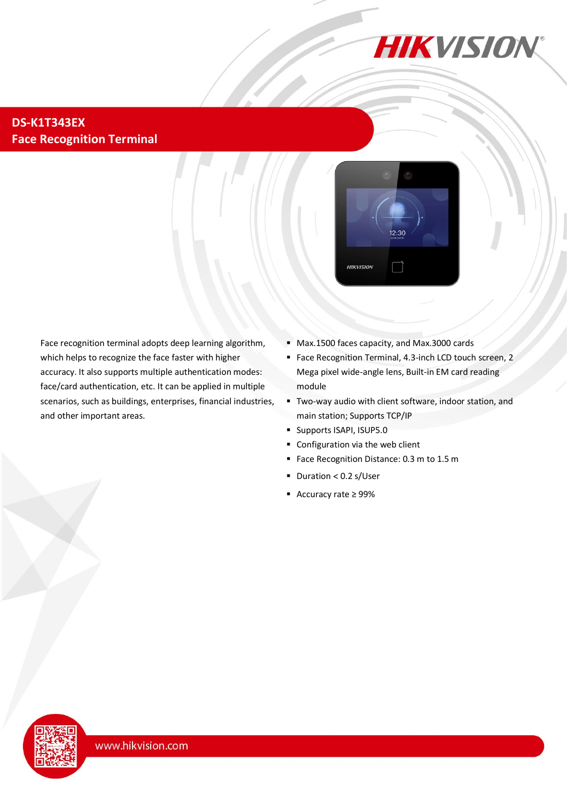

#### **DS-K1T343EX Face Recognition Terminal**



Face recognition terminal adopts deep learning algorithm, which helps to recognize the face faster with higher accuracy. It also supports multiple authentication modes: face/card authentication, etc. It can be applied in multiple scenarios, such as buildings, enterprises, financial industries, and other important areas.

- Max.1500 faces capacity, and Max.3000 cards
- Face Recognition Terminal, 4.3-inch LCD touch screen, 2 Mega pixel wide-angle lens, Built-in EM card reading module
- Two-way audio with client software, indoor station, and main station; Supports TCP/IP
- Supports ISAPI, ISUP5.0
- Configuration via the web client
- Face Recognition Distance: 0.3 m to 1.5 m
- $\blacksquare$  Duration < 0.2 s/User
- Accuracy rate ≥ 99%

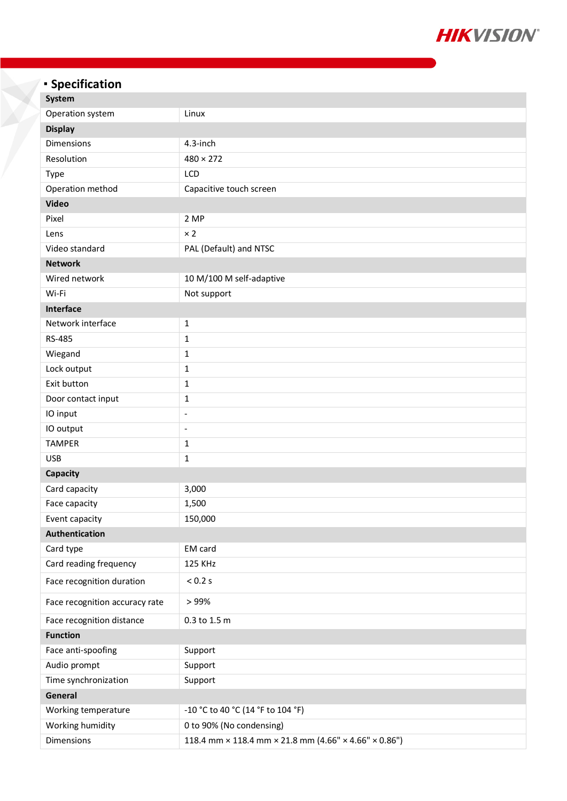

# **Specification**

| System                         |                                                       |  |
|--------------------------------|-------------------------------------------------------|--|
| Operation system               | Linux                                                 |  |
| <b>Display</b>                 |                                                       |  |
| <b>Dimensions</b>              | 4.3-inch                                              |  |
| Resolution                     | $480 \times 272$                                      |  |
| <b>Type</b>                    | LCD                                                   |  |
| Operation method               | Capacitive touch screen                               |  |
| <b>Video</b>                   |                                                       |  |
| Pixel                          | 2 MP                                                  |  |
| Lens                           | $\times 2$                                            |  |
| Video standard                 | PAL (Default) and NTSC                                |  |
| <b>Network</b>                 |                                                       |  |
| Wired network                  | 10 M/100 M self-adaptive                              |  |
| Wi-Fi                          | Not support                                           |  |
| Interface                      |                                                       |  |
| Network interface              | $\mathbf{1}$                                          |  |
| <b>RS-485</b>                  | 1                                                     |  |
| Wiegand                        | $\mathbf{1}$                                          |  |
| Lock output                    | $\mathbf{1}$                                          |  |
| Exit button                    | $\mathbf{1}$                                          |  |
| Door contact input             | 1                                                     |  |
| IO input                       | $\overline{\phantom{a}}$                              |  |
| IO output                      | $\blacksquare$                                        |  |
| <b>TAMPER</b>                  | 1                                                     |  |
| <b>USB</b>                     | $\mathbf{1}$                                          |  |
| <b>Capacity</b>                |                                                       |  |
| Card capacity                  | 3,000                                                 |  |
| Face capacity                  | 1,500                                                 |  |
| Event capacity                 | 150,000                                               |  |
| Authentication                 |                                                       |  |
| Card type                      | EM card                                               |  |
| Card reading frequency         | 125 KHz                                               |  |
| Face recognition duration      | $< 0.2$ s                                             |  |
| Face recognition accuracy rate | >99%                                                  |  |
| Face recognition distance      | 0.3 to 1.5 m                                          |  |
| <b>Function</b>                |                                                       |  |
| Face anti-spoofing             | Support                                               |  |
| Audio prompt                   | Support                                               |  |
| Time synchronization           | Support                                               |  |
| General                        |                                                       |  |
| Working temperature            | -10 °C to 40 °C (14 °F to 104 °F)                     |  |
| Working humidity               | 0 to 90% (No condensing)                              |  |
| Dimensions                     | 118.4 mm × 118.4 mm × 21.8 mm (4.66" × 4.66" × 0.86") |  |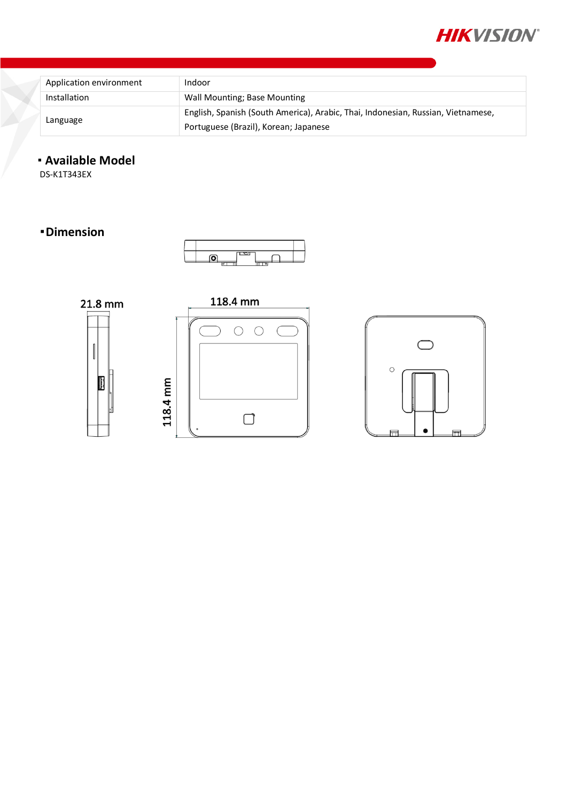

| Application environment | Indoor                                                                           |
|-------------------------|----------------------------------------------------------------------------------|
| Installation            | Wall Mounting; Base Mounting                                                     |
| Language                | English, Spanish (South America), Arabic, Thai, Indonesian, Russian, Vietnamese, |
|                         | Portuguese (Brazil), Korean; Japanese                                            |

### **Available Model**

DS-K1T343EX

#### **Dimension**